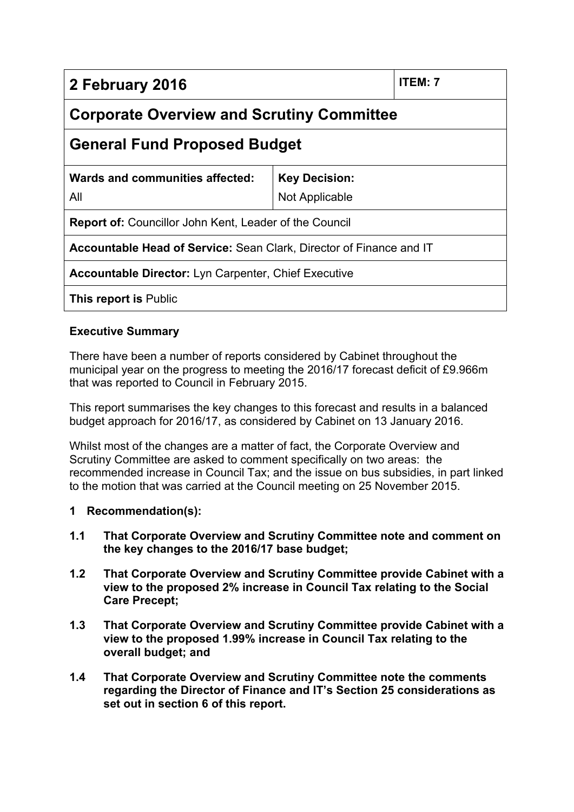| 2 February 2016                                                            |                                        | ITEM: 7 |
|----------------------------------------------------------------------------|----------------------------------------|---------|
| <b>Corporate Overview and Scrutiny Committee</b>                           |                                        |         |
| <b>General Fund Proposed Budget</b>                                        |                                        |         |
| Wards and communities affected:<br>All                                     | <b>Key Decision:</b><br>Not Applicable |         |
| <b>Report of:</b> Councillor John Kent, Leader of the Council              |                                        |         |
| <b>Accountable Head of Service: Sean Clark, Director of Finance and IT</b> |                                        |         |
| <b>Accountable Director:</b> Lyn Carpenter, Chief Executive                |                                        |         |
| <b>This report is Public</b>                                               |                                        |         |

# **Executive Summary**

There have been a number of reports considered by Cabinet throughout the municipal year on the progress to meeting the 2016/17 forecast deficit of £9.966m that was reported to Council in February 2015.

This report summarises the key changes to this forecast and results in a balanced budget approach for 2016/17, as considered by Cabinet on 13 January 2016.

Whilst most of the changes are a matter of fact, the Corporate Overview and Scrutiny Committee are asked to comment specifically on two areas: the recommended increase in Council Tax; and the issue on bus subsidies, in part linked to the motion that was carried at the Council meeting on 25 November 2015.

# **1 Recommendation(s):**

- **1.1 That Corporate Overview and Scrutiny Committee note and comment on the key changes to the 2016/17 base budget;**
- **1.2 That Corporate Overview and Scrutiny Committee provide Cabinet with a view to the proposed 2% increase in Council Tax relating to the Social Care Precept;**
- **1.3 That Corporate Overview and Scrutiny Committee provide Cabinet with a view to the proposed 1.99% increase in Council Tax relating to the overall budget; and**
- **1.4 That Corporate Overview and Scrutiny Committee note the comments regarding the Director of Finance and IT's Section 25 considerations as set out in section 6 of this report.**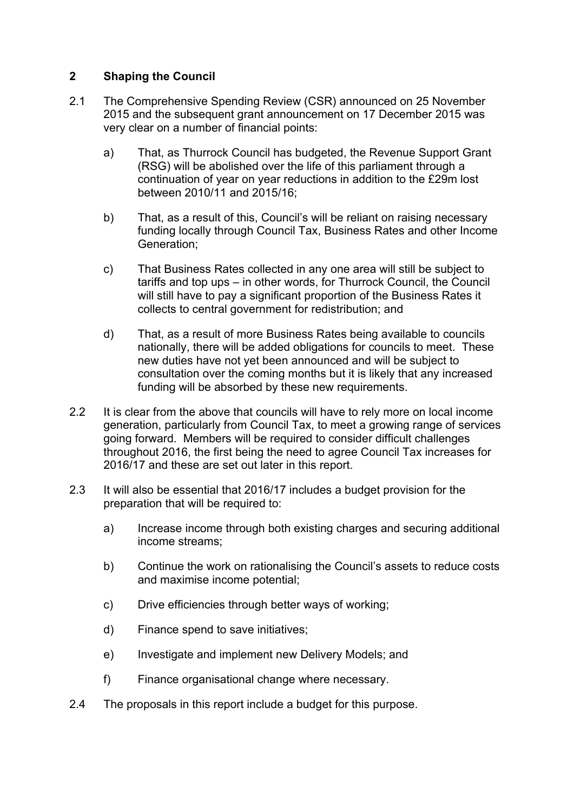# **2 Shaping the Council**

- 2.1 The Comprehensive Spending Review (CSR) announced on 25 November 2015 and the subsequent grant announcement on 17 December 2015 was very clear on a number of financial points:
	- a) That, as Thurrock Council has budgeted, the Revenue Support Grant (RSG) will be abolished over the life of this parliament through a continuation of year on year reductions in addition to the £29m lost between 2010/11 and 2015/16;
	- b) That, as a result of this, Council's will be reliant on raising necessary funding locally through Council Tax, Business Rates and other Income Generation;
	- c) That Business Rates collected in any one area will still be subject to tariffs and top ups – in other words, for Thurrock Council, the Council will still have to pay a significant proportion of the Business Rates it collects to central government for redistribution; and
	- d) That, as a result of more Business Rates being available to councils nationally, there will be added obligations for councils to meet. These new duties have not yet been announced and will be subject to consultation over the coming months but it is likely that any increased funding will be absorbed by these new requirements.
- 2.2 It is clear from the above that councils will have to rely more on local income generation, particularly from Council Tax, to meet a growing range of services going forward. Members will be required to consider difficult challenges throughout 2016, the first being the need to agree Council Tax increases for 2016/17 and these are set out later in this report.
- 2.3 It will also be essential that 2016/17 includes a budget provision for the preparation that will be required to:
	- a) Increase income through both existing charges and securing additional income streams;
	- b) Continue the work on rationalising the Council's assets to reduce costs and maximise income potential;
	- c) Drive efficiencies through better ways of working;
	- d) Finance spend to save initiatives;
	- e) Investigate and implement new Delivery Models; and
	- f) Finance organisational change where necessary.
- 2.4 The proposals in this report include a budget for this purpose.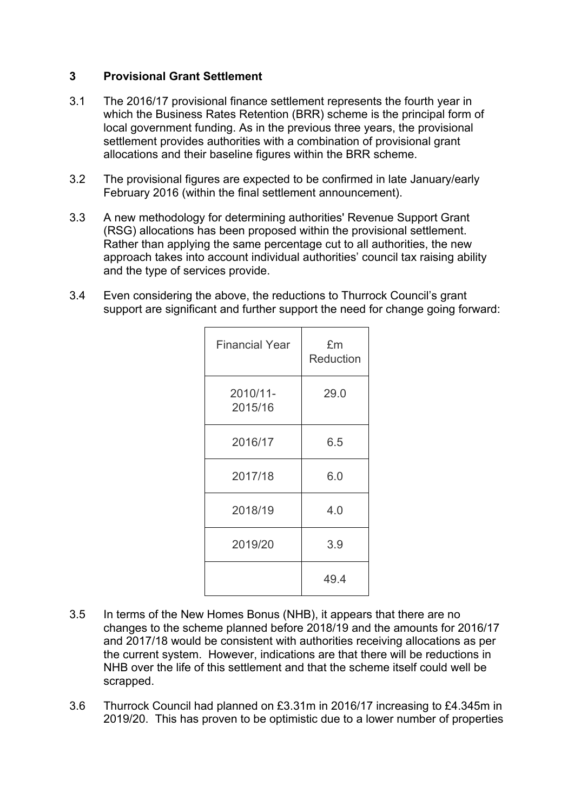## **3 Provisional Grant Settlement**

- 3.1 The 2016/17 provisional finance settlement represents the fourth year in which the Business Rates Retention (BRR) scheme is the principal form of local government funding. As in the previous three years, the provisional settlement provides authorities with a combination of provisional grant allocations and their baseline figures within the BRR scheme.
- 3.2 The provisional figures are expected to be confirmed in late January/early February 2016 (within the final settlement announcement).
- 3.3 A new methodology for determining authorities' Revenue Support Grant (RSG) allocations has been proposed within the provisional settlement. Rather than applying the same percentage cut to all authorities, the new approach takes into account individual authorities' council tax raising ability and the type of services provide.
- 3.4 Even considering the above, the reductions to Thurrock Council's grant support are significant and further support the need for change going forward:

| <b>Financial Year</b> | £m<br>Reduction |
|-----------------------|-----------------|
| 2010/11-<br>2015/16   | 29.0            |
| 2016/17               | 6.5             |
| 2017/18               | 6.0             |
| 2018/19               | 4.0             |
| 2019/20               | 3.9             |
|                       | 49.4            |

- 3.5 In terms of the New Homes Bonus (NHB), it appears that there are no changes to the scheme planned before 2018/19 and the amounts for 2016/17 and 2017/18 would be consistent with authorities receiving allocations as per the current system. However, indications are that there will be reductions in NHB over the life of this settlement and that the scheme itself could well be scrapped.
- 3.6 Thurrock Council had planned on £3.31m in 2016/17 increasing to £4.345m in 2019/20. This has proven to be optimistic due to a lower number of properties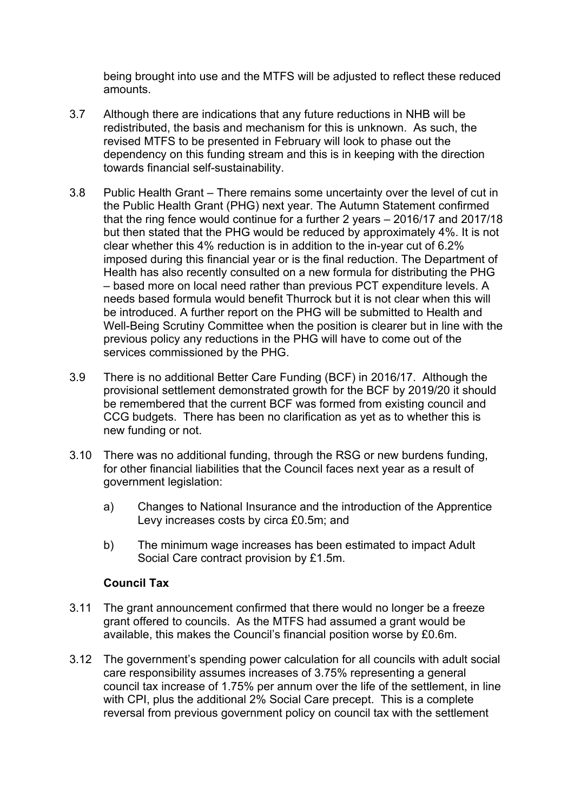being brought into use and the MTFS will be adjusted to reflect these reduced amounts.

- 3.7 Although there are indications that any future reductions in NHB will be redistributed, the basis and mechanism for this is unknown. As such, the revised MTFS to be presented in February will look to phase out the dependency on this funding stream and this is in keeping with the direction towards financial self-sustainability.
- 3.8 Public Health Grant There remains some uncertainty over the level of cut in the Public Health Grant (PHG) next year. The Autumn Statement confirmed that the ring fence would continue for a further 2 years – 2016/17 and 2017/18 but then stated that the PHG would be reduced by approximately 4%. It is not clear whether this 4% reduction is in addition to the in-year cut of 6.2% imposed during this financial year or is the final reduction. The Department of Health has also recently consulted on a new formula for distributing the PHG – based more on local need rather than previous PCT expenditure levels. A needs based formula would benefit Thurrock but it is not clear when this will be introduced. A further report on the PHG will be submitted to Health and Well-Being Scrutiny Committee when the position is clearer but in line with the previous policy any reductions in the PHG will have to come out of the services commissioned by the PHG.
- 3.9 There is no additional Better Care Funding (BCF) in 2016/17. Although the provisional settlement demonstrated growth for the BCF by 2019/20 it should be remembered that the current BCF was formed from existing council and CCG budgets. There has been no clarification as yet as to whether this is new funding or not.
- 3.10 There was no additional funding, through the RSG or new burdens funding, for other financial liabilities that the Council faces next year as a result of government legislation:
	- a) Changes to National Insurance and the introduction of the Apprentice Levy increases costs by circa £0.5m; and
	- b) The minimum wage increases has been estimated to impact Adult Social Care contract provision by £1.5m.

### **Council Tax**

- 3.11 The grant announcement confirmed that there would no longer be a freeze grant offered to councils. As the MTFS had assumed a grant would be available, this makes the Council's financial position worse by £0.6m.
- 3.12 The government's spending power calculation for all councils with adult social care responsibility assumes increases of 3.75% representing a general council tax increase of 1.75% per annum over the life of the settlement, in line with CPI, plus the additional 2% Social Care precept. This is a complete reversal from previous government policy on council tax with the settlement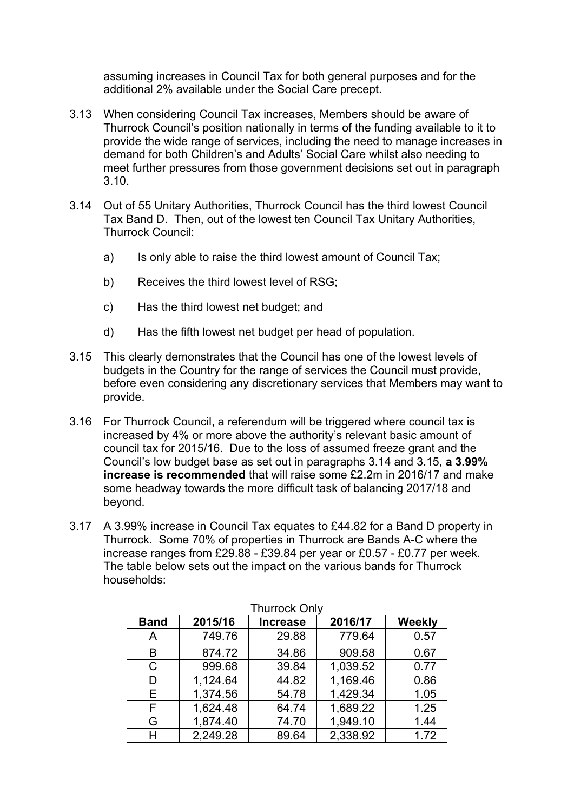assuming increases in Council Tax for both general purposes and for the additional 2% available under the Social Care precept.

- 3.13 When considering Council Tax increases, Members should be aware of Thurrock Council's position nationally in terms of the funding available to it to provide the wide range of services, including the need to manage increases in demand for both Children's and Adults' Social Care whilst also needing to meet further pressures from those government decisions set out in paragraph 3.10.
- 3.14 Out of 55 Unitary Authorities, Thurrock Council has the third lowest Council Tax Band D. Then, out of the lowest ten Council Tax Unitary Authorities, Thurrock Council:
	- a) Is only able to raise the third lowest amount of Council Tax;
	- b) Receives the third lowest level of RSG;
	- c) Has the third lowest net budget; and
	- d) Has the fifth lowest net budget per head of population.
- 3.15 This clearly demonstrates that the Council has one of the lowest levels of budgets in the Country for the range of services the Council must provide, before even considering any discretionary services that Members may want to provide.
- 3.16 For Thurrock Council, a referendum will be triggered where council tax is increased by 4% or more above the authority's relevant basic amount of council tax for 2015/16. Due to the loss of assumed freeze grant and the Council's low budget base as set out in paragraphs 3.14 and 3.15, **a 3.99% increase is recommended** that will raise some £2.2m in 2016/17 and make some headway towards the more difficult task of balancing 2017/18 and beyond.
- 3.17 A 3.99% increase in Council Tax equates to £44.82 for a Band D property in Thurrock. Some 70% of properties in Thurrock are Bands A-C where the increase ranges from £29.88 - £39.84 per year or £0.57 - £0.77 per week. The table below sets out the impact on the various bands for Thurrock households:

| <b>Thurrock Only</b> |                            |       |          |               |  |
|----------------------|----------------------------|-------|----------|---------------|--|
| <b>Band</b>          | 2015/16<br><b>Increase</b> |       | 2016/17  | <b>Weekly</b> |  |
| A                    | 749.76                     | 29.88 | 779.64   | 0.57          |  |
| B                    | 874.72                     | 34.86 | 909.58   | 0.67          |  |
| C                    | 999.68                     | 39.84 | 1,039.52 | 0.77          |  |
| D                    | 1,124.64                   | 44.82 | 1,169.46 | 0.86          |  |
| E.                   | 1,374.56                   | 54.78 | 1,429.34 | 1.05          |  |
| F                    | 1,624.48                   | 64.74 | 1,689.22 | 1.25          |  |
| G                    | 1,874.40                   | 74.70 | 1,949.10 | 1.44          |  |
| н                    | 2,249.28                   | 89.64 | 2,338.92 | 1.72          |  |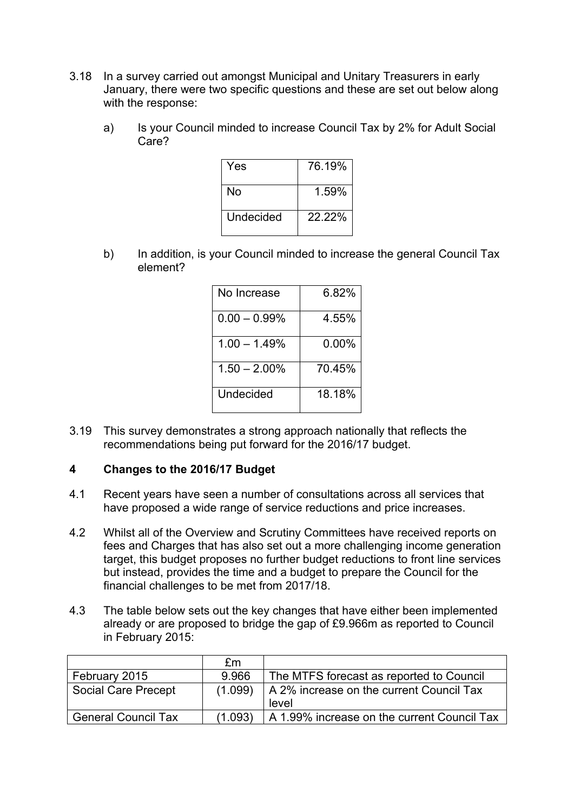- 3.18 In a survey carried out amongst Municipal and Unitary Treasurers in early January, there were two specific questions and these are set out below along with the response:
	- a) Is your Council minded to increase Council Tax by 2% for Adult Social Care?

| Yes       | 76.19%    |
|-----------|-----------|
| N٥        | 1.59%     |
| Undecided | $22.22\%$ |

b) In addition, is your Council minded to increase the general Council Tax element?

| No Increase     | 6.82%  |
|-----------------|--------|
| $0.00 - 0.99\%$ | 4.55%  |
| 1.00 – 1.49%    | 0.00%  |
| $1.50 - 2.00\%$ | 70.45% |
| Undecided       | 18.18% |

3.19 This survey demonstrates a strong approach nationally that reflects the recommendations being put forward for the 2016/17 budget.

### **4 Changes to the 2016/17 Budget**

- 4.1 Recent years have seen a number of consultations across all services that have proposed a wide range of service reductions and price increases.
- 4.2 Whilst all of the Overview and Scrutiny Committees have received reports on fees and Charges that has also set out a more challenging income generation target, this budget proposes no further budget reductions to front line services but instead, provides the time and a budget to prepare the Council for the financial challenges to be met from 2017/18.
- 4.3 The table below sets out the key changes that have either been implemented already or are proposed to bridge the gap of £9.966m as reported to Council in February 2015:

|                            | fm      |                                             |
|----------------------------|---------|---------------------------------------------|
| February 2015              | 9.966   | The MTFS forecast as reported to Council    |
| <b>Social Care Precept</b> | (1.099) | A 2% increase on the current Council Tax    |
|                            |         | level                                       |
| <b>General Council Tax</b> | (1.093) | A 1.99% increase on the current Council Tax |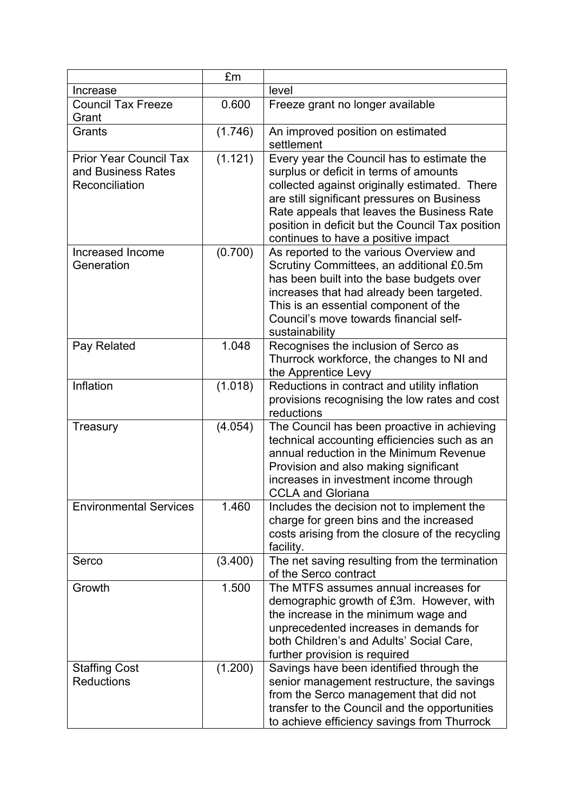|                                                                       | £m      |                                                                                                                                                                                                                                                                                                                               |
|-----------------------------------------------------------------------|---------|-------------------------------------------------------------------------------------------------------------------------------------------------------------------------------------------------------------------------------------------------------------------------------------------------------------------------------|
| Increase                                                              |         | level                                                                                                                                                                                                                                                                                                                         |
| <b>Council Tax Freeze</b><br>Grant                                    | 0.600   | Freeze grant no longer available                                                                                                                                                                                                                                                                                              |
| Grants                                                                | (1.746) | An improved position on estimated<br>settlement                                                                                                                                                                                                                                                                               |
| <b>Prior Year Council Tax</b><br>and Business Rates<br>Reconciliation | (1.121) | Every year the Council has to estimate the<br>surplus or deficit in terms of amounts<br>collected against originally estimated. There<br>are still significant pressures on Business<br>Rate appeals that leaves the Business Rate<br>position in deficit but the Council Tax position<br>continues to have a positive impact |
| Increased Income<br>Generation                                        | (0.700) | As reported to the various Overview and<br>Scrutiny Committees, an additional £0.5m<br>has been built into the base budgets over<br>increases that had already been targeted.<br>This is an essential component of the<br>Council's move towards financial self-<br>sustainability                                            |
| Pay Related                                                           | 1.048   | Recognises the inclusion of Serco as<br>Thurrock workforce, the changes to NI and<br>the Apprentice Levy                                                                                                                                                                                                                      |
| Inflation                                                             | (1.018) | Reductions in contract and utility inflation<br>provisions recognising the low rates and cost<br>reductions                                                                                                                                                                                                                   |
| Treasury                                                              | (4.054) | The Council has been proactive in achieving<br>technical accounting efficiencies such as an<br>annual reduction in the Minimum Revenue<br>Provision and also making significant<br>increases in investment income through<br><b>CCLA and Gloriana</b>                                                                         |
| <b>Environmental Services</b>                                         | 1.460   | Includes the decision not to implement the<br>charge for green bins and the increased<br>costs arising from the closure of the recycling<br>facility.                                                                                                                                                                         |
| Serco                                                                 | (3.400) | The net saving resulting from the termination<br>of the Serco contract                                                                                                                                                                                                                                                        |
| Growth                                                                | 1.500   | The MTFS assumes annual increases for<br>demographic growth of £3m. However, with<br>the increase in the minimum wage and<br>unprecedented increases in demands for<br>both Children's and Adults' Social Care,<br>further provision is required                                                                              |
| <b>Staffing Cost</b><br><b>Reductions</b>                             | (1.200) | Savings have been identified through the<br>senior management restructure, the savings<br>from the Serco management that did not<br>transfer to the Council and the opportunities<br>to achieve efficiency savings from Thurrock                                                                                              |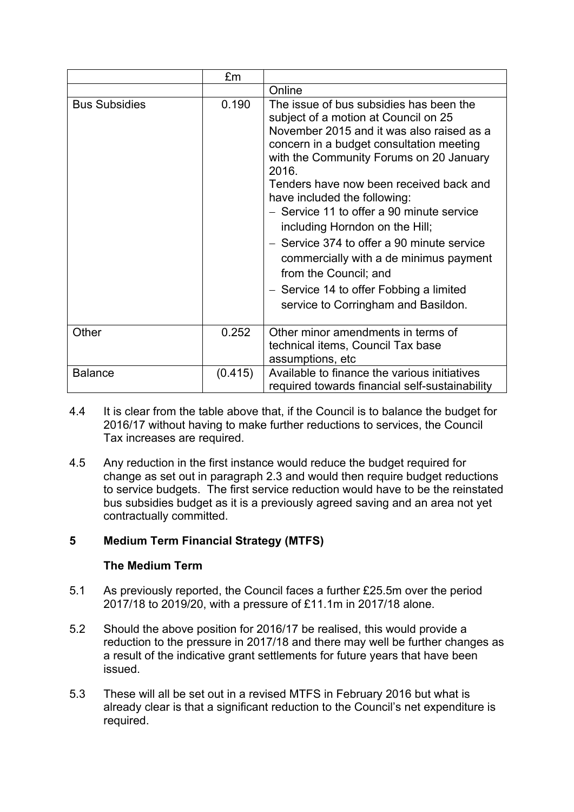|                      | £m      |                                                                                                                                                                                                                                                                                                                                                                                                                                                                                                                                                                                           |
|----------------------|---------|-------------------------------------------------------------------------------------------------------------------------------------------------------------------------------------------------------------------------------------------------------------------------------------------------------------------------------------------------------------------------------------------------------------------------------------------------------------------------------------------------------------------------------------------------------------------------------------------|
|                      |         | Online                                                                                                                                                                                                                                                                                                                                                                                                                                                                                                                                                                                    |
| <b>Bus Subsidies</b> | 0.190   | The issue of bus subsidies has been the<br>subject of a motion at Council on 25<br>November 2015 and it was also raised as a<br>concern in a budget consultation meeting<br>with the Community Forums on 20 January<br>2016.<br>Tenders have now been received back and<br>have included the following:<br>- Service 11 to offer a 90 minute service<br>including Horndon on the Hill;<br>- Service 374 to offer a 90 minute service<br>commercially with a de minimus payment<br>from the Council; and<br>- Service 14 to offer Fobbing a limited<br>service to Corringham and Basildon. |
| Other                | 0.252   | Other minor amendments in terms of<br>technical items, Council Tax base<br>assumptions, etc                                                                                                                                                                                                                                                                                                                                                                                                                                                                                               |
| <b>Balance</b>       | (0.415) | Available to finance the various initiatives<br>required towards financial self-sustainability                                                                                                                                                                                                                                                                                                                                                                                                                                                                                            |

- 4.4 It is clear from the table above that, if the Council is to balance the budget for 2016/17 without having to make further reductions to services, the Council Tax increases are required.
- 4.5 Any reduction in the first instance would reduce the budget required for change as set out in paragraph 2.3 and would then require budget reductions to service budgets. The first service reduction would have to be the reinstated bus subsidies budget as it is a previously agreed saving and an area not yet contractually committed.

# **5 Medium Term Financial Strategy (MTFS)**

# **The Medium Term**

- 5.1 As previously reported, the Council faces a further £25.5m over the period 2017/18 to 2019/20, with a pressure of £11.1m in 2017/18 alone.
- 5.2 Should the above position for 2016/17 be realised, this would provide a reduction to the pressure in 2017/18 and there may well be further changes as a result of the indicative grant settlements for future years that have been issued.
- 5.3 These will all be set out in a revised MTFS in February 2016 but what is already clear is that a significant reduction to the Council's net expenditure is required.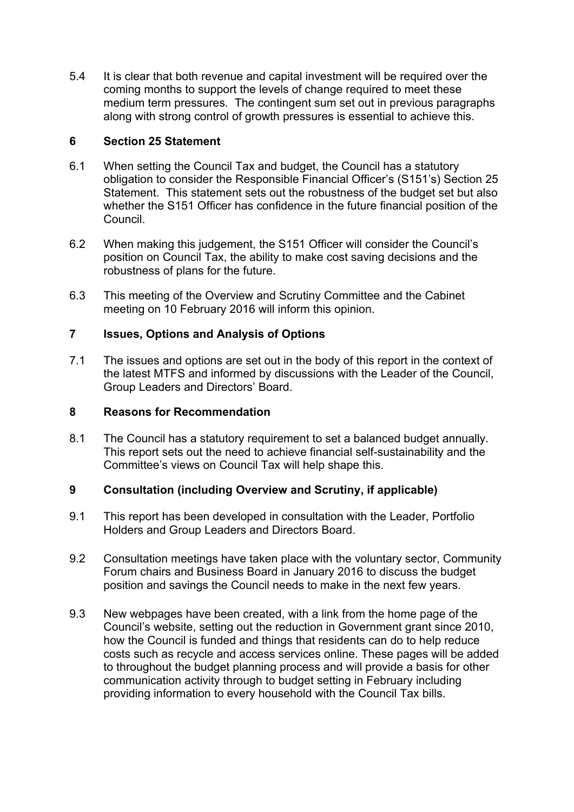5.4 It is clear that both revenue and capital investment will be required over the coming months to support the levels of change required to meet these medium term pressures. The contingent sum set out in previous paragraphs along with strong control of growth pressures is essential to achieve this.

## **6 Section 25 Statement**

- 6.1 When setting the Council Tax and budget, the Council has a statutory obligation to consider the Responsible Financial Officer's (S151's) Section 25 Statement. This statement sets out the robustness of the budget set but also whether the S151 Officer has confidence in the future financial position of the Council.
- 6.2 When making this judgement, the S151 Officer will consider the Council's position on Council Tax, the ability to make cost saving decisions and the robustness of plans for the future.
- 6.3 This meeting of the Overview and Scrutiny Committee and the Cabinet meeting on 10 February 2016 will inform this opinion.

# **7 Issues, Options and Analysis of Options**

7.1 The issues and options are set out in the body of this report in the context of the latest MTFS and informed by discussions with the Leader of the Council, Group Leaders and Directors' Board.

### **8 Reasons for Recommendation**

8.1 The Council has a statutory requirement to set a balanced budget annually. This report sets out the need to achieve financial self-sustainability and the Committee's views on Council Tax will help shape this.

# **9 Consultation (including Overview and Scrutiny, if applicable)**

- 9.1 This report has been developed in consultation with the Leader, Portfolio Holders and Group Leaders and Directors Board.
- 9.2 Consultation meetings have taken place with the voluntary sector, Community Forum chairs and Business Board in January 2016 to discuss the budget position and savings the Council needs to make in the next few years.
- 9.3 New webpages have been created, with a link from the home page of the Council's website, setting out the reduction in Government grant since 2010, how the Council is funded and things that residents can do to help reduce costs such as recycle and access services online. These pages will be added to throughout the budget planning process and will provide a basis for other communication activity through to budget setting in February including providing information to every household with the Council Tax bills.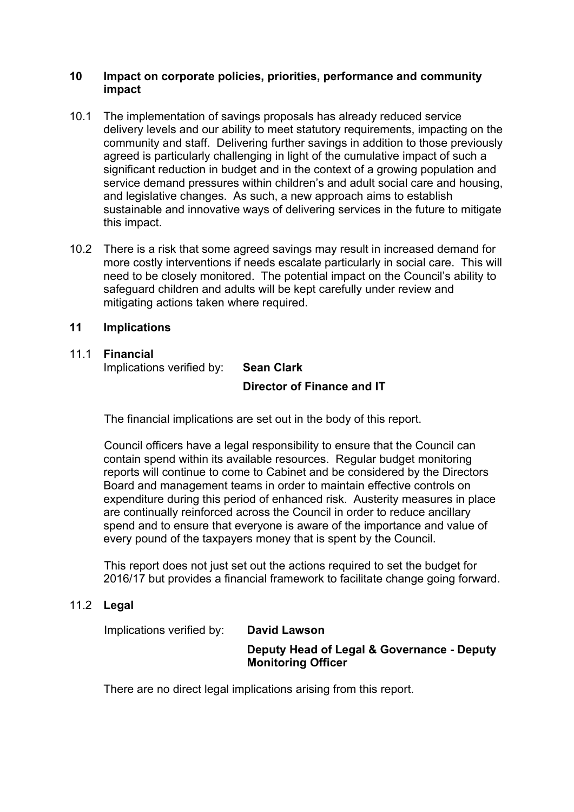#### **10 Impact on corporate policies, priorities, performance and community impact**

- 10.1 The implementation of savings proposals has already reduced service delivery levels and our ability to meet statutory requirements, impacting on the community and staff. Delivering further savings in addition to those previously agreed is particularly challenging in light of the cumulative impact of such a significant reduction in budget and in the context of a growing population and service demand pressures within children's and adult social care and housing, and legislative changes. As such, a new approach aims to establish sustainable and innovative ways of delivering services in the future to mitigate this impact.
- 10.2 There is a risk that some agreed savings may result in increased demand for more costly interventions if needs escalate particularly in social care. This will need to be closely monitored. The potential impact on the Council's ability to safeguard children and adults will be kept carefully under review and mitigating actions taken where required.

## **11 Implications**

# 11.1 **Financial**

Implications verified by: **Sean Clark**

# **Director of Finance and IT**

The financial implications are set out in the body of this report.

Council officers have a legal responsibility to ensure that the Council can contain spend within its available resources. Regular budget monitoring reports will continue to come to Cabinet and be considered by the Directors Board and management teams in order to maintain effective controls on expenditure during this period of enhanced risk. Austerity measures in place are continually reinforced across the Council in order to reduce ancillary spend and to ensure that everyone is aware of the importance and value of every pound of the taxpayers money that is spent by the Council.

This report does not just set out the actions required to set the budget for 2016/17 but provides a financial framework to facilitate change going forward.

### 11.2 **Legal**

Implications verified by: **David Lawson**

## **Deputy Head of Legal & Governance - Deputy Monitoring Officer**

There are no direct legal implications arising from this report.